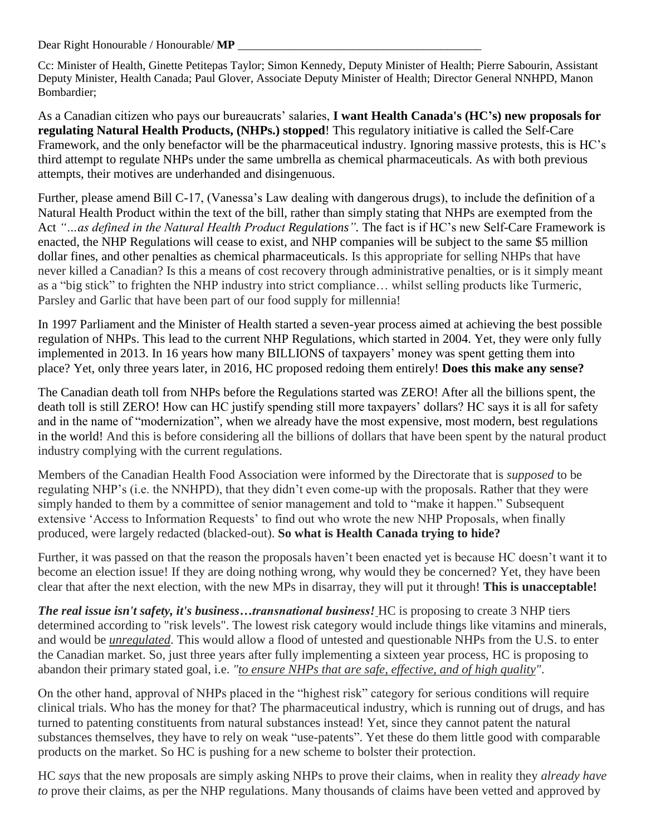Dear Right Honourable / Honourable/ **MP** 

Cc: Minister of Health, Ginette Petitepas Taylor; Simon Kennedy, Deputy Minister of Health; Pierre Sabourin, Assistant Deputy Minister, Health Canada; Paul Glover, Associate Deputy Minister of Health; Director General NNHPD, Manon Bombardier;

As a Canadian citizen who pays our bureaucrats' salaries, **I want Health Canada's (HC's) new proposals for regulating Natural Health Products, (NHPs.) stopped**! This regulatory initiative is called the Self-Care Framework, and the only benefactor will be the pharmaceutical industry. Ignoring massive protests, this is HC's third attempt to regulate NHPs under the same umbrella as chemical pharmaceuticals. As with both previous attempts, their motives are underhanded and disingenuous.

Further, please amend Bill C-17, (Vanessa's Law dealing with dangerous drugs), to include the definition of a Natural Health Product within the text of the bill, rather than simply stating that NHPs are exempted from the Act *"…as defined in the Natural Health Product Regulations".* The fact is if HC's new Self-Care Framework is enacted, the NHP Regulations will cease to exist, and NHP companies will be subject to the same \$5 million dollar fines, and other penalties as chemical pharmaceuticals. Is this appropriate for selling NHPs that have never killed a Canadian? Is this a means of cost recovery through administrative penalties, or is it simply meant as a "big stick" to frighten the NHP industry into strict compliance… whilst selling products like Turmeric, Parsley and Garlic that have been part of our food supply for millennia!

In 1997 Parliament and the Minister of Health started a seven-year process aimed at achieving the best possible regulation of NHPs. This lead to the current NHP Regulations, which started in 2004. Yet, they were only fully implemented in 2013. In 16 years how many BILLIONS of taxpayers' money was spent getting them into place? Yet, only three years later, in 2016, HC proposed redoing them entirely! **Does this make any sense?**

The Canadian death toll from NHPs before the Regulations started was ZERO! After all the billions spent, the death toll is still ZERO! How can HC justify spending still more taxpayers' dollars? HC says it is all for safety and in the name of "modernization", when we already have the most expensive, most modern, best regulations in the world! And this is before considering all the billions of dollars that have been spent by the natural product industry complying with the current regulations.

Members of the Canadian Health Food Association were informed by the Directorate that is *supposed* to be regulating NHP's (i.e. the NNHPD), that they didn't even come-up with the proposals. Rather that they were simply handed to them by a committee of senior management and told to "make it happen." Subsequent extensive 'Access to Information Requests' to find out who wrote the new NHP Proposals, when finally produced, were largely redacted (blacked-out). **So what is Health Canada trying to hide?**

Further, it was passed on that the reason the proposals haven't been enacted yet is because HC doesn't want it to become an election issue! If they are doing nothing wrong, why would they be concerned? Yet, they have been clear that after the next election, with the new MPs in disarray, they will put it through! **This is unacceptable!**

*The real issue isn't safety, it's business…transnational business!* HC is proposing to create 3 NHP tiers determined according to "risk levels". The lowest risk category would include things like vitamins and minerals, and would be *unregulated*. This would allow a flood of untested and questionable NHPs from the U.S. to enter the Canadian market. So, just three years after fully implementing a sixteen year process, HC is proposing to abandon their primary stated goal, i.e. *"to ensure NHPs that are safe, effective, and of high quality"*.

On the other hand, approval of NHPs placed in the "highest risk" category for serious conditions will require clinical trials. Who has the money for that? The pharmaceutical industry, which is running out of drugs, and has turned to patenting constituents from natural substances instead! Yet, since they cannot patent the natural substances themselves, they have to rely on weak "use-patents". Yet these do them little good with comparable products on the market. So HC is pushing for a new scheme to bolster their protection.

HC *says* that the new proposals are simply asking NHPs to prove their claims, when in reality they *already have to* prove their claims, as per the NHP regulations. Many thousands of claims have been vetted and approved by